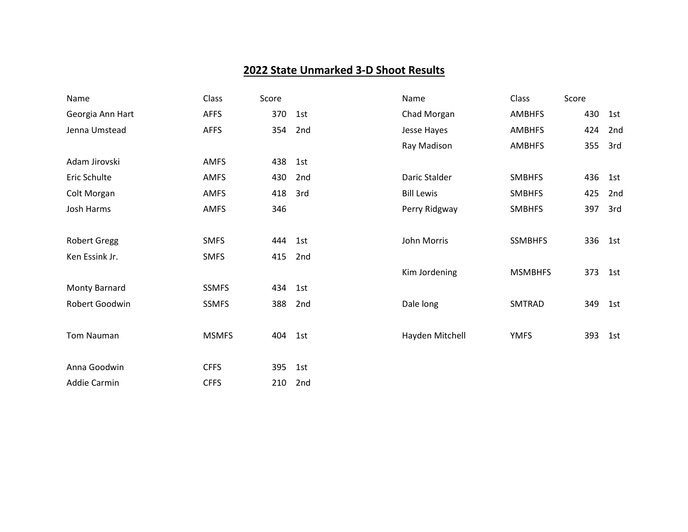## **2022 State Unmarked 3-D Shoot Results**

| Name                | Class        | Score |     | Name              | Class          | Score |     |
|---------------------|--------------|-------|-----|-------------------|----------------|-------|-----|
| Georgia Ann Hart    | <b>AFFS</b>  | 370   | 1st | Chad Morgan       | <b>AMBHFS</b>  | 430   | 1st |
| Jenna Umstead       | <b>AFFS</b>  | 354   | 2nd | Jesse Hayes       | <b>AMBHFS</b>  | 424   | 2nd |
|                     |              |       |     | Ray Madison       | <b>AMBHFS</b>  | 355   | 3rd |
| Adam Jirovski       | AMFS         | 438   | 1st |                   |                |       |     |
| Eric Schulte        | AMFS         | 430   | 2nd | Daric Stalder     | <b>SMBHFS</b>  | 436   | 1st |
| Colt Morgan         | AMFS         | 418   | 3rd | <b>Bill Lewis</b> | <b>SMBHFS</b>  | 425   | 2nd |
| Josh Harms          | AMFS         | 346   |     | Perry Ridgway     | <b>SMBHFS</b>  | 397   | 3rd |
|                     |              |       |     |                   |                |       |     |
| <b>Robert Gregg</b> | <b>SMFS</b>  | 444   | 1st | John Morris       | <b>SSMBHFS</b> | 336   | 1st |
| Ken Essink Jr.      | <b>SMFS</b>  | 415   | 2nd |                   |                |       |     |
|                     |              |       |     | Kim Jordening     | <b>MSMBHFS</b> | 373   | 1st |
| Monty Barnard       | <b>SSMFS</b> | 434   | 1st |                   |                |       |     |
| Robert Goodwin      | <b>SSMFS</b> | 388   | 2nd | Dale long         | SMTRAD         | 349   | 1st |
|                     |              |       |     |                   |                |       |     |
| Tom Nauman          | <b>MSMFS</b> | 404   | 1st | Hayden Mitchell   | <b>YMFS</b>    | 393   | 1st |
|                     |              |       |     |                   |                |       |     |
| Anna Goodwin        | <b>CFFS</b>  | 395   | 1st |                   |                |       |     |
| Addie Carmin        | <b>CFFS</b>  | 210   | 2nd |                   |                |       |     |